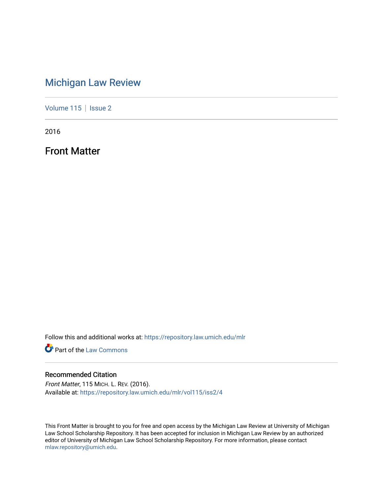## [Michigan Law Review](https://repository.law.umich.edu/mlr)

[Volume 115](https://repository.law.umich.edu/mlr/vol115) | [Issue 2](https://repository.law.umich.edu/mlr/vol115/iss2)

2016

Front Matter

Follow this and additional works at: [https://repository.law.umich.edu/mlr](https://repository.law.umich.edu/mlr?utm_source=repository.law.umich.edu%2Fmlr%2Fvol115%2Fiss2%2F4&utm_medium=PDF&utm_campaign=PDFCoverPages) 

**Part of the [Law Commons](http://network.bepress.com/hgg/discipline/578?utm_source=repository.law.umich.edu%2Fmlr%2Fvol115%2Fiss2%2F4&utm_medium=PDF&utm_campaign=PDFCoverPages)** 

### Recommended Citation

Front Matter, 115 MICH. L. REV. (2016). Available at: [https://repository.law.umich.edu/mlr/vol115/iss2/4](https://repository.law.umich.edu/mlr/vol115/iss2/4?utm_source=repository.law.umich.edu%2Fmlr%2Fvol115%2Fiss2%2F4&utm_medium=PDF&utm_campaign=PDFCoverPages) 

This Front Matter is brought to you for free and open access by the Michigan Law Review at University of Michigan Law School Scholarship Repository. It has been accepted for inclusion in Michigan Law Review by an authorized editor of University of Michigan Law School Scholarship Repository. For more information, please contact [mlaw.repository@umich.edu.](mailto:mlaw.repository@umich.edu)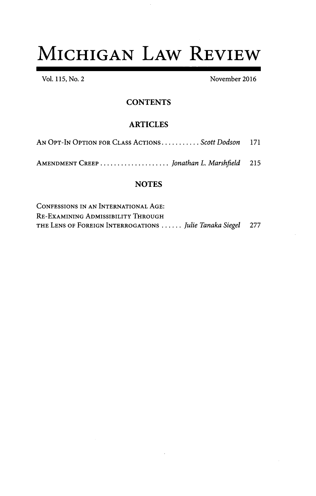# **MICHIGAN LAW REVIEW**

Vol. 115, No. 2 November 2016

### **CONTENTS**

## ARTICLES

| AN OPT-IN OPTION FOR CLASS ACTIONSScott Dodson 171 |  |
|----------------------------------------------------|--|
|                                                    |  |

AMENDMENT CREEP ..................... *Jonathan L. Marshfield*

## **NOTES**

| CONFESSIONS IN AN INTERNATIONAL AGE:                        |  |
|-------------------------------------------------------------|--|
| Re-Examining Admissibility Through                          |  |
| THE LENS OF FOREIGN INTERROGATIONS  Julie Tanaka Siegel 277 |  |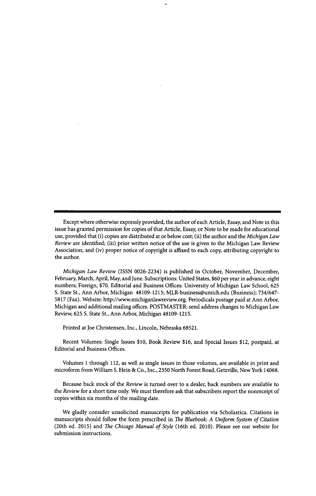Except where otherwise expressly provided, the author of each Article, Essay, and Note in this issue has granted permission for copies of that Article, Essay, or Note to be made for educational use, provided that (i) copies are distributed at or below cost; (ii) the author and the *Michigan Law Review* are identified; (iii) prior written notice of the use is given to the Michigan Law Review Association; and (iv) proper notice of copyright is affixed to each copy, attributing copyright to the author.

*Michigan Law Review* (ISSN 0026-2234) is published in October, November, December, February, March, April, May, and June. Subscriptions: United States, \$60 per year in advance, eight numbers; Foreign, \$70. Editorial and Business Offices: University of Michigan Law School, 625 S. State St., Ann Arbor, Michigan 48109-1215; MLR-business@umich.edu (Business); 734/647- 5817 (Fax). Website: http://www.michiganlawreview.org. Periodicals postage paid at Ann Arbor, Michigan and additional mailing offices. POSTMASTER: send address changes to Michigan Law Review, 625 **S.** State St., Ann Arbor, Michigan 48109-1215.

Printed at Joe Christensen, Inc., Lincoln, Nebraska 68521.

Recent Volumes: Single Issues \$10, Book Review \$16, and Special Issues \$12, postpaid, at Editorial and Business Offices.

Volumes **I** through 112, as well as single issues in those volumes, are available in print and microform from William S. Hein & Co., Inc., 2350 North Forest Road, Getzville, New York 14068.

Because back stock of the *Review* is turned over to a dealer, back numbers are available to the *Review* for a short time only. We must therefore ask that subscribers report the nonreceipt of copies within six months of the mailing date.

We gladly consider unsolicited manuscripts for publication via Scholastica. Citations in manuscripts should follow the form prescribed in *The Bluebook: A Uniform System of Citation* (20th ed. 2015) and *The Chicago Manual of Style* (16th ed. 2010). Please see our website for submission instructions.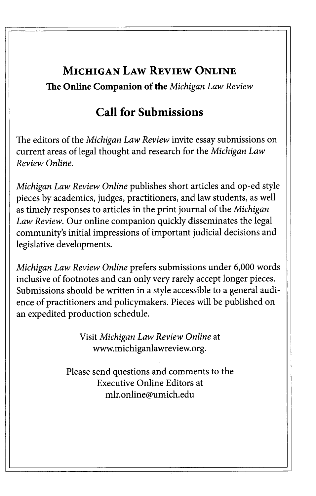## **MICHIGAN LAW REVIEW ONLINE The Online Companion of the** *Michigan Law Review*

## **Call for Submissions**

The editors of the *Michigan Law Review* invite essay submissions on current areas of legal thought and research for the *Michigan Law Review Online.*

*Michigan Law Review Online* publishes short articles and op-ed style pieces by academics, judges, practitioners, and law students, as well as timely responses to articles in the print journal of the *Michigan Law Review.* Our online companion quickly disseminates the legal community's initial impressions of important judicial decisions and legislative developments.

*Michigan Law Review Online* prefers submissions under 6,000 words inclusive of footnotes and can only very rarely accept longer pieces. Submissions should be written in a style accessible to a general audience of practitioners and policymakers. Pieces will be published on an expedited production schedule.

> Visit *Michigan Law Review Online* at www.michiganlawreview.org.

Please send questions and comments to the Executive Online Editors at mlr.online@umich.edu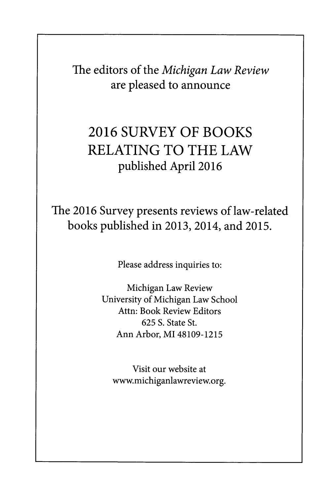The editors of the *Michigan Law Review* **are pleased to announce**

## **2016 SURVEY OF BOOKS RELATING TO THE LAW published April 2016**

## **The 2016 Survey presents reviews of law-related books published in 2013,** 2014, **and 2015.**

Please address inquiries to:

Michigan Law Review University of Michigan Law School Attn: Book Review Editors **625** S. State St. Ann Arbor, MI 48109-1215

Visit our website at www.michiganlawreview.org.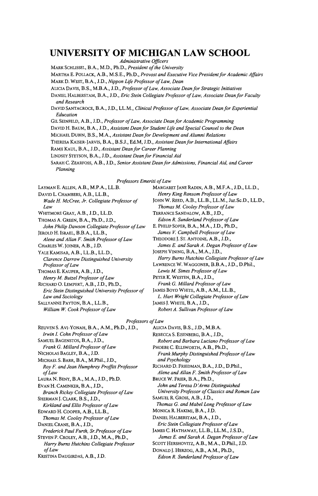### **UNIVERSITY OF MICHIGAN LAW SCHOOL**

*Administrative Officers*

MARK SCHLISSEL, B.A., M.D., Ph.D., *President of the University*

MARTHA E. POLLACK, A.B., **M.S.E.,** Ph.D., *Provost and Executive Vice President for Academic Affairs* MARK **D.** WEST, B.A., **J.D.,** *Nippon Life Professor of Law, Dean*

ALICIA DAVIS, B.S., M.B.A., **J.D.,** *Professor ofLaw, Associate Dean for Strategic Initiatives*

**DANIEL** HALBERSTAM, B.A., **J.D.,** *Eric Stein Collegiate Professor ofLaw, Associate Dean for Faculty and Research*

DAVID SANTACROCE, B.A., **J.D.,** LL.M., *Clinical Professor of Law, Associate Dean for Experiential Education*

GIL SEINFELD, A.B., **J.D.,** *Professor ofLaw, Associate Dean for Academic Programming*

**DAVID** H. **BAUM,** B.A., **J.D.,** *Assistant Dean for Student Life and Special Counsel to the Dean*

MICHAEL DUBIN, B.S., M.A., *Assistant Dean for Development and Alumni Relations*

THERESA KAISER-JARVIS, B.A., **B.S.J., Ed.M, J.D.,** *Assistant Dean for International Affairs*

RAMjI **KAUL,** B.A., **J.D.,** *Assistant Dean for Career Planning*

**LINDSEY STETSON,** B.A., **J.D.,** *Assistant Dean for Financial Aid*

SARAH **C.** ZEARFosS, A.B., **J.D.,** *Senior Assistant Dean for Admissions, Financial Aid, and Career Planning*

*Professors Emeriti ofLaw*

LAYMAN E. ALLEN, A.B., M.P.A., LL.B. DAVID L. CHAMBERS, A.B., LL.B., *Wade H. McCree, Jr. Collegiate Professor of Law* WHITMORE GRAY, A.B., J.D., LL.D. THOMAS A. GREEN, B.A., Ph.D., J.D., *John Philip Dawson Collegiate Professor of Law*

JEROLD H. ISRAEL, B.B.A., LL.B., *Alene and Allan F. Smith Professor of Law* CHARLES W. JOINER, A.B., J.D.

YALE KAMISAR, A.B., LL.B., LL.D., *Clarence Darrow Distinguished University Professor of Law*

THOMAS E. KAUPER, A.B., J.D., *Henry M. Butzel Professor ofLaw*

RICHARD **0.** LEMPERT, A.B., J.D., Ph.D., *Eric Stein Distinguished University Professor of Law and Sociology*

SALLYANNE PAYTON, B.A., LL.B., *William W Cook Professor of Law*

REUVEN **S.** AVI-YONAH, B.A., A.M., Ph.D., J.D., *Irwin I Cohn Professor of Law* SAMUEL BAGENSTOS, B.A., J.D., *Frank G. Millard Professor of Law* NICHOLAS BAGLEY, B.A., J.D. MICHAEL S. BARR, B.A., M.Phil., J.D., *Roy F. and Jean Humphrey Proffitt Professor ofLaw* LAURA N. BENY, B.A., M.A., J.D., Ph.D. EVAN H. CAMINKER, B.A., J.D., *Branch Rickey Collegiate Professor ofLaw* SHERMAN **J.** CLARK, B.S., J.D., *Kirkland and Ellis Professor of Law* EDWARD H. COOPER, A.B., LL.B., *Thomas M. Cooley Professor of Law* DANIEL CRANE, B.A., J.D., *Frederick Paul Furth, Sr.Professor ofLaw* STEVEN P. CROLEY, A.B., J.D., M.A., Ph.D., *Harry Burns Hutchins Collegiate Professor ofLaw* KRISTINA DAUGIRDAS, A.B., J.D.

MARGARET JANE RADIN, A.B., M.F.A., J.D., LL.D., *Henry King Ransom Professor ofLaw* JOHN W. REED, A.B., LL.B., LL.M., Jur.Sc.D., LL.D., *Thomas M. Cooley Professor of Law* TERRANCE SANDALOW, A.B., J.D., *Edson R. Sunderland Professor ofLaw* E. PHILIP SOPER, B.A., M.A., J.D., Ph.D., *James V. Campbell Professor of Law* THEODORE **J.** ST. ANTOINE, A.B., J.D., *James E. and Sarah A. Degan Professor ofLaw* JOSEPH **VINING,** B.A., M.A., J.D., *Harry Burns Hutchins Collegiate Professor of Law* LAWRENCE W. WAGGONER, B.B.A., J.D., D.Phil., *Lewis M. Simes Professor of Law* PETER K. WESTEN, B.A., J.D., *Frank G. Millard Professor ofLaw* JAMES BOYD WHITE, A.B., A.M., LL.B., *L. Hart Wright Collegiate Professor of Law* JAMES J. WHITE, B.A., J.D., *Robert A. Sullivan Professor of Law*

*Professors ofLaw*

ALICIA DAVIS, B.S., J.D., M.B.A. REBECCA S. EISENBERG, B.A., **J.D.,** *Robert and Barbara Luciano Professor of Law* PHOEBE C. ELLSWORTH, A.B., Ph.D., *Frank Murphy Distinguished Professor ofLaw and Psychology* RICHARD D. FRIEDMAN, B.A., J.D., D.Phil., *Alene and Allan F. Smith Professor of Law* BRUCE W. FRIER, B.A., Ph.D., *John and Teresa D 'Arms Distinguished University Professor of Classics and Roman Law* SAMUEL R GROSS, A.B., J.D., *Thomas G. and Mabel Long Professor of Law* MONICA R HAKIMI, B.A., **J.D.** DANIEL HALBERSTAM, B.A., J.D., *Eric Stein Collegiate Professor ofLaw* JAMES C. HATHAWAY, LL.B., LL.M., J.S.D., *James E. and Sarah A. Degan Professor of Law* SCOTT HERSHOVITZ, A.B., M.A., D.Phil., **J.D.** DONALD J. HERZOG, A.B., A.M., Ph.D., *Edson R. Sunderland Professor ofLaw*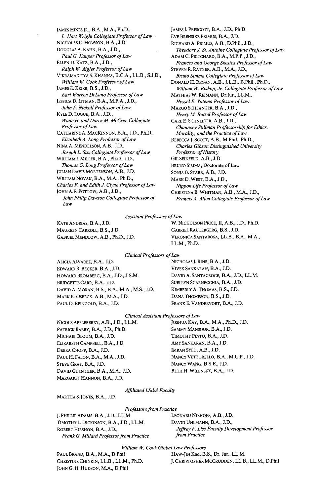**JAMES** HINES JR., B.A., M.A., Ph.D., *L. Hart Wright Collegiate Professor of Law* NICHOLAS C. **HOWSON,** B.A., J.D. DOUGLAS **A.** KAHN, B.A., **J.D.,** *Paul G. Kauper Professor of Law* ELLEN D. KATZ, B.A., **J.D.,** *Ralph W Aigler Professor of Law* VIKRAMADITYA **S.** KHANNA, **B.C.A.,** LL.B., **S.J.D.,** *William W. Cook Professor ofLaw* JAMES **E.** KRIER, B.S., **J.D.,** *Earl Warren DeLano Professor of Law* JESSICA D. LITMAN, B.A., M.F.A., **J.D.,** *John F. Nickoll Professor of Law* KYLE D. **LOGUE,** B.A., **J.D.,** *Wade H. and Dares M. McCree Collegiate Professor ofLaw* CATHARINE **A.** MACKINNON, B.A., **J.D.,** Ph.D., *Elizabeth A. Long Professor of Law* **NINA** A. **MENDELSON,** A.B., **J.D.,** *Joseph L. Sax Collegiate Professor ofLaw* WILLIAM **I.** MILLER, B.A., Ph.D., **J.D.,** *Thomas G. Long Professor ofLaw* JULIAN **DAVIS** MORTENSON, A.B., **J.D.** WILLIAM **NOVAK,** B.A., M.A., Ph.D., *Charles F. and Edith J. Clyne Professor of Law* JOHN A.E. PoTTow, A.B., **J.D.,** *John Philip Dawson Collegiate Professor of Law*

JAMES J. PRESCOTT, B.A., J.D., Ph.D. EVE BRENSIKE PRIMUS, B.A., J.D. RICHARD A. PRIMUS, A.B., D.Phil., J.D., *Theodore J St. Antoine Collegiate Professor of Law* ADAM C. PRITCHARD, B.A., M.P.P., J.D., *Frances and George Skestos Professor ofLaw* STEVEN **R.** RATNER, A.B., M.A., J.D., *Bruno Simma Collegiate Professor ofLaw* DONALD H. REGAN, A.B., LL.B., B.Phil., Ph.D., *William W Bishop, Jr. Collegiate Professor of Law* MATHIAS W. REIMANN, DrIur., LL.M., *Hessel E. Yntema Professor of Law* MARGO SCHLANGER, B.A., J.D., *Henry M. Butzel Professor ofLaw* CARL E. SCHNEIDER, A.B., J.D., *Chauncey Stillman Professorship for Ethics, Morality, and the Practice of Law* REBECCA **J.** SCoTr, A.B., M.Phil., Ph.D., *Charles Gibson Distinguished University Professor of History* GIL SEINFELD, A.B., J.D. BRUNO SIMMA, Doctorate of Law SONIA B. STARR, A.B., J.D. MARK D. WEST, B.A., J.D., *Nippon Life Professor of Law* CHRISTINA B. WHITMAN, A.B., M.A., J.D., *Francis A. Allen Collegiate Professor of Law*

#### *Assistant Professors of Law*

MAUREEN CARROLL, B.S., J.D. GABRIEL RAUTERGERG, B.S., J.D.

KATE ANDRIAS, B.A., J.D. W. NICHOLSON PRICE, **II,** A.B., **J.D.,** Ph.D. GABRIEL MENDLOW, A.B., Ph.D., **J.D.** VERONICA SANTAROSA, LL.B., B.A., M.A., LL.M., Ph.D.

*Clinical Professors of Law*

EDWARD R. BECKER, B.A., **J.D.** VIVEK SANKARAN, B.A., **J.D.** HOWARD BROMBERG, B.A., **J.D.,** J.S.M. DAVID A. SANTACROCE, B.A., J.D., LL.M. BRIDGETTE CARR, B.A., J.D. SUELLYN SCARNECCHIA, B.A., J.D. DAVID A. MORAN, B.S., B.A., M.A., **M.S.,** J.D. KIMBERLY A. THOMAS, B.S., J.D. MARK K. OSBECK, A.B., M.A., **J.D.** DANA THOMPSON, B.S., **J.D.** PAUL D. REINGOLD, B.A., **J.D.** FRANK E. VANDERVORT, B.A., J.D.

ALICIA ALVAREZ, B.A., J.D. NICHOLAS **J.** RINE, B.A., J.D.

### *Clinical Assistant Professors of Law*

PATRICK BARRY, B.A., J.D., Ph.D. SAMMY MANSOUR, B.A., J.D. MICHAEL BLOOM, B.A., J.D. TIMOTHY PINTO, B.A., J.D. ELIZABETH CAMPBELL, B.A., J.D. AMY SANKARAN, B.A., **J.D.** DEBRA CHOPP, B.A., **J.D.** IMRAN SYED, A.B., **J.D.** STEVE GRAY, B.A., J.D. NANCY WANG, B.S.E., J.D. DAVID GUENTHER, B.A., M.A., J.D. BETH H. WILENSKY, B.A., J.D. MARGARET HANNON, B.A., J.D.

NICOLE APPLEBERRY, A.B., J.D., LL.M. JOSHUA KAY, B.A., M.A., Ph.D., J.D. PAUL H. FALON, B.A., M.A., **J.D.** NANCY VETTORELLO, B.A., M.U.P., J.D.

### *Affiliated LS&A Faculty*

MARTHA S. JONES, B.A., J.D.

#### *Professors from Practice*

*J.* PHILLIP ADAMS, B.A., **J.D.,** LL.M LEONARD NIEHOFF, A.B., **J.D.** TIMOTHY L. DICKINSON, B.A., **J.D.,** LL.M. DAVID UHLMANN, B.A., **J.D.,** *Frank G. Millard Professor from Practice from Practice*

ROBERT HIRSHON, **B.A., J.D.,** *Jeffrey F. Liss Faculty Development Professor*

#### *William W. Cook Global Law Professors*

PAUL BRAND, B.A., M.A., D.Phil HAW-JIN KIM, B.S., Dr. Jur., LL.M. JOHN G. H. HUDSON, M.A., D.Phil

CHRISTINE CHINKIN, LL.B., LL.M., Ph.D. J. CHRISTOPHER MCCRUDDEN, LL.B., LL.M., D.Phil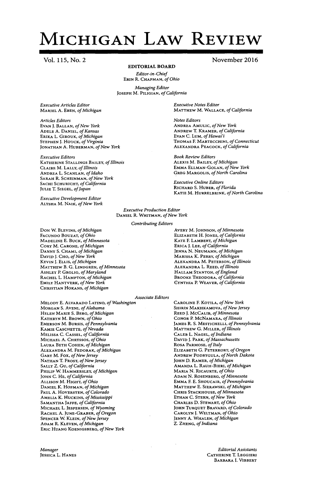## **MICHIGAN LAW REVIEW**

**Vol. 115,** No. **2**

#### EDITORIAL BOARD

*Editor-in-Chief* **ERIN** R. **CHAPMAN,** *of Ohio*

*Managing Editor* **JOSEPH** M. **PILIGIAN,** *of California*

*Executive Articles Editor* MARIEL A. **EBEN,** *of Michigan*

*Articles Editors* EVAN J. **BALLAN,** *of New York* **ADELE A. DANIEL,** *of Kansas* ERIKA L. GIROUX, *of Michigan* **STEPHEN J.** HOUCK, *of Virginia* **JONATHAN A.** HUBERMAN, *of New Yc*

*Executive Editors* **KATHERINE STALLINGS BAILEY,** *of Ill* CLAIRE M. LALLY, *of Illinois* **ANDREA** L. **SCANLAN,** *of Idaho* SARAH R. **SCHEINMAN,** *of New York* **SACHI** SCHURICHT, *of California* **JULIE** T. SIEGEL, *of Japan*

*Executive Development Editor* ALYSHA M. **NAIK,** *of New York*

**DON** W. **BLEVINS,** *of Michigan* FACUNDO BOUZAT, *of Ohio* **MADELINE** E. BUCK, *of Minnesota* CORY M. **CARONE,** *of Michigan* **DANNY S.** CHAMI, *of Michigan* DAVID **J. CHO,** *of New York* **KEVIN J. ELLIS,** *of Michigan* MATTHEW B. **G. LINDGREN,** *of Minn* ASHLEY P. GROLIG, *of Maryland* RACHEL L. **HAMPTON,** *of Michigan* **EMILY** HANTVERK, *of New York* **CHRISTIAN** HORANS, *of Michigan*

*Executive Notes Editor* **MATTHEW** M. **WALLACE,** *of California*

*Notes Editors* **ANDREA** AMULIC, *of New York* ANDREW T. KRAMER, *of California* **EVAN** C. LUM, *of Hawai'i* THOMAS E **MARTECCHINI,** *of Connecticut* ALEXANDRA **PEACOCK,** *of California*

*Book Review Editors* ALEXIS M. BAILEY, *of Michigan* EMMA **ELLMAN-GOLAN,** *of New York* GREG MARGOLIS, *of North Carolina*

*Executive Online Editors* RICHARD **S.** HUBER, *of Florida* KATIE M. HURRELBRINK, *of North Carolina*

*Executive Production Editor* DANIEL R. WHITMAN, *of New York*

*Contributing Editors*

**AVERY** M. **JOHNSON,** *of Minnesota* ELIZABETH H. **JONES,** *of California* KATE F LAMBERT, *of Michigan* ERICA **J. LEE,** *of California* **JENNA N.** NEUMANN, *of Michigan* MARISSA K. **PERRY,** *of Michigan* **ALEXANDRA** M. **PETERSON,** *of Illinois esota* ALEXANDRA L. REED, *of Illinois* HALLAM **STANTON,** *of England* BROOKE THEODORA, *of California* **CYNTHIA** P. **WEAVER,** *of California*

#### *Associate Editors*

**MELODY** E. **ALVARADO LATINO,** *of Washington* MORGAN S. **AVENI,** *of Alabama* **HELEN** MARIE **S.** BERG, *of Michigan* **KATHRYN** M. BROWN, *of Ohio* EMERSON M. **BURSIS,** *of Pennsylvania* **KAMIE** CASCHETTE, *of Nevada* MELISSA **C. CASSEL,** *of California* MICHAEL A. CHRYSSOS, *of Ohio* LAURA BETH **COHEN,** *of Michigan* ALEXANDRA M. FEDORAK, *of Michigan* GARY M. Fox, *of New Jersey* **NATHAN** T. FROST, *of New Jersey* SALLY Z. Gu, *of California* PHILIP W. HAMMERSLEY, *of Michigan* **JOHN** C. HE, *of California* **ALLISON** M. HIGHT, *of Ohio* **DANIEL** K. **HOFMAN,** *of Michigan* **PAUL** A. HOVERSTEN, *of Colorado* AMELIA K. HUCKINS, *of Mississippi* SAMANTHA **JAFFE,** *of California* MICHAEL L. **JESPERSEN,** *of Wyoming* **RACHEL** A. **JUNE-GRABER,** *of Oregon* **SPENCER** W **KLEIN,** *of New Jersey* ADAM R. **KLEVEN,** *of Michigan* ERIC **HUANG** KOENIGSBERG, *of New York*

**CAROLINE** F. KOTILA, *of New York* SHIRIN MAKHKAMOVA, *of New Jersey* REED **J. MCCALIB,** *of Minnesota* CONOR P. MCNAMARA, *of Illinois* JAMES *R.* S. **MESTICHELLI,** *of Pennsylvania* MATTHEW **G.** MILLER, *of Illinois* **CALEB** L. **NAGEL,** *of Indiana* DAVID J. *PARK, of Massachusetts* ROSA PARMOSE, *of Italy* ELIZABETH **G.** PETERKORT, *of Oregon* **ANDREW** PODRYGULA, *of North Dakota* **JOHN D.** RAMER, *of Michigan* **AMANDA** L. RAUH-BIERI, *of Michigan* MARIA **N.** RICAURTE, *of Ohio* **ADAM** N. **ROSENBERG,** *of Minnesota* EMMA F. **E. SHOUCAIR,** *of Pennsylvania* MATTHEW **E.** SIERAWSKI, *of Michigan* CHRIS **STACKHOUSE,** *of Minnesota* **ETHAN** C. **STERN,** *of New York* CHARLES **D.** STEWART, *of Ohio* **JOHN TURQUET BRAVARD,** *of Colorado* **CAROLYN J. WELTMAN,** *of Ohio* **JENNY A. WHALEN,** *of Michigan* Z. **ZHENG,** *of Indiana*

*Manager* **JESSICA** L. **HANES**

*Editorial Assistants* CATHERINE T. LEGGIERI BARBARA *I.* VIBBERT

### November **2016**